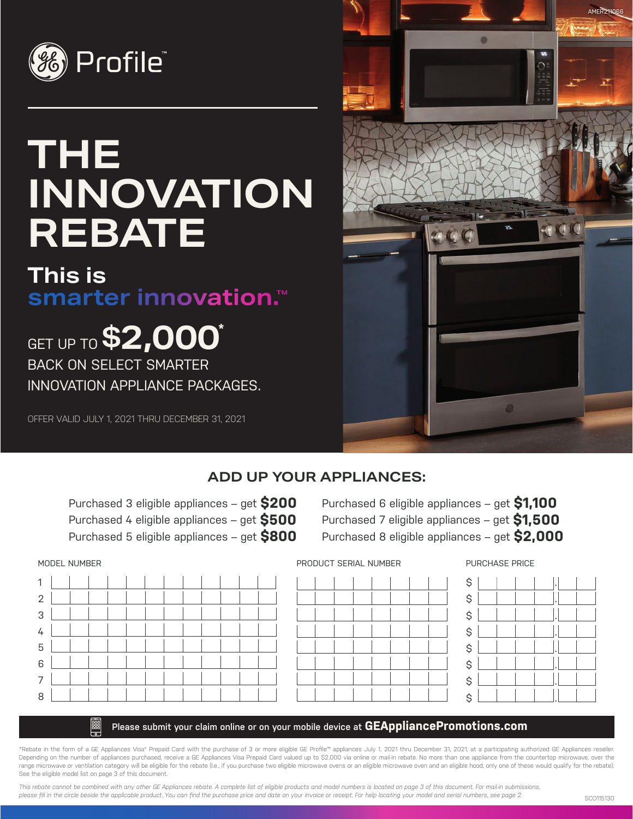

# **THE INNOVATION REBATE**

# **This is** smarter innovation.<sup>™</sup>

**GET UP TO \$2,000\*** BACK ON SELECT SMARTER INNOVATION APPLIANCE PACKAGES.

OFFER VALID JULY 1, 2021 THRU DECEMBER 31, 2021



# **ADD UP YOUR APPLIANCES:**

Purchased 3 eligible appliances – get **\$200** Purchased 4 eligible appliances – get **\$500** Purchased 5 eligible appliances – get **\$800**

Purchased 6 eligible appliances – get **\$1,100** Purchased 7 eligible appliances – get **\$1,500** Purchased 8 eligible appliances – get **\$2,000**





PURCHASE PRICE



# **Please submit your claim online or on your mobile device at GEAppliancePromotions.com**

\*Rebate in the form of a GE Appliances Visa® Prepaid Card with the purchase of 3 or more eligible GE Profile™ appliances July 1, 2021 thru December 31, 2021, at a participating authorized GE Appliances reseller. Depending on the number of appliances purchased, receive a GE Appliances Visa Prepaid Card valued up to \$2,000 via online or mail-in rebate. No more than one appliance from the countertop microwave, over the range microwave or ventilation category will be eligible for the rebate (I.e., if you purchase two eligible microwave ovens or an eligible microwave oven and an eligible hood, only one of these would qualify for the rebate See the eligible model list on page 3 of this document.

*This rebate cannot be combined with any other GE Appliances rebate. A complete list of eligible products and model numbers is located on page 3 of this document. For mail-in submissions, please fill in the circle beside the applicable product. You can find the purchase price and date on your invoice or receipt. For help locating your model and serial numbers, see page 2.*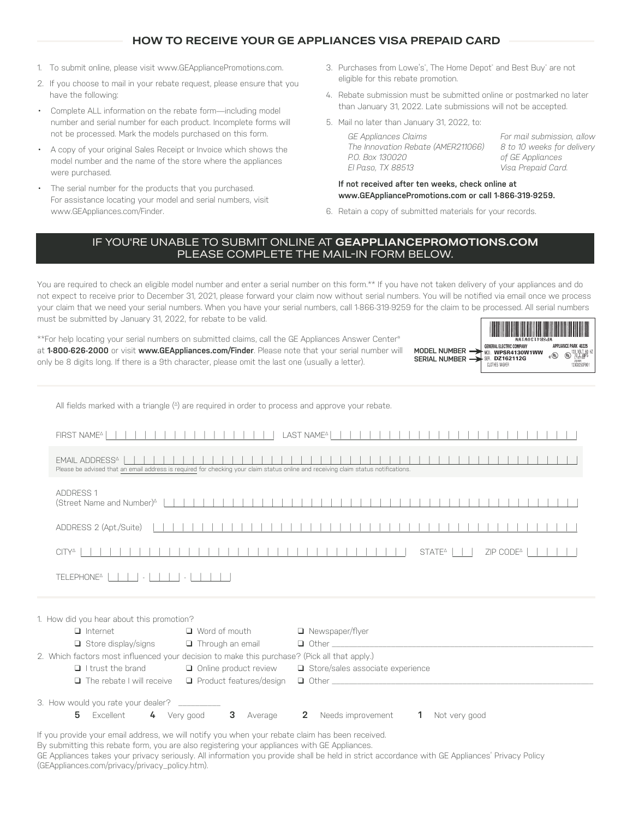# **HOW TO RECEIVE YOUR GE APPLIANCES VISA PREPAID CARD**

- 1. To submit online, please visit www.GEAppliancePromotions.com.
- 2. If you choose to mail in your rebate request, please ensure that you have the following:
- Complete ALL information on the rebate form—including model number and serial number for each product. Incomplete forms will not be processed. Mark the models purchased on this form.
- A copy of your original Sales Receipt or Invoice which shows the model number and the name of the store where the appliances were purchased.
- The serial number for the products that you purchased. For assistance locating your model and serial numbers, visit www.GEAppliances.com/Finder.
- 3. Purchases from Lowe's", The Home Depot" and Best Buy" are not eligible for this rebate promotion.
- 4. Rebate submission must be submitted online or postmarked no later than January 31, 2022. Late submissions will not be accepted.
- 5. Mail no later than January 31, 2022, to:

*GE Appliances Claims The Innovation Rebate (AMER211066) P.O. Box 130020 El Paso, TX 88513* 

*For mail submission, allow 8 to 10 weeks for delivery of GE Appliances Visa Prepaid Card.*

# **If not received after ten weeks, check online at www.GEAppliancePromotions.com or call 1-866-319-9259.**

6. Retain a copy of submitted materials for your records.

# IF YOU'RE UNABLE TO SUBMIT ONLINE AT **GEAPPLIANCEPROMOTIONS.COM**  PLEASE COMPLETE THE MAIL-IN FORM BELOW.

You are required to check an eligible model number and enter a serial number on this form.\*\* If you have not taken delivery of your appliances and do not expect to receive prior to December 31, 2021, please forward your claim now without serial numbers. You will be notified via email once we process your claim that we need your serial numbers. When you have your serial numbers, call 1-866-319-9259 for the claim to be processed. All serial numbers must be submitted by January 31, 2022, for rebate to be valid. I HARTIN ON THE DIVIDENTIAL AND AN ORDER WHO AND THE THE AND AND THE THE

\*\*For help locating your serial numbers on submitted claims, call the GE Appliances Answer Center® at **1-800-626-2000** or visit **www.GEAppliances.com/Finder**. Please note that your serial number will only be 8 digits long. If there is a 9th character, please omit the last one (usually a letter).

|                                                  | <b>AREA DESCRIPTION OF AN INC.</b><br>WERGETPASHW                                            |       |                                                                  |  |
|--------------------------------------------------|----------------------------------------------------------------------------------------------|-------|------------------------------------------------------------------|--|
| <b>MODEL NUMBER</b><br>SERIAL<br><b>NI IMRFR</b> | <b>GENERAL ELECTRIC COMPANY</b><br>MOD<br>WPSR4130W1WW<br>SER<br>DZ162112G<br>CLOTHES WASHER | c (%) | APPLIANCE PARK 40225<br>HZ<br>121.701<br>Œ<br>206H<br>23C8250P00 |  |

|               |                                                                                                                                                                   | All fields marked with a triangle $(4)$ are required in order to process and approve your rebate. |                                          |                                             |
|---------------|-------------------------------------------------------------------------------------------------------------------------------------------------------------------|---------------------------------------------------------------------------------------------------|------------------------------------------|---------------------------------------------|
|               | FIRST NAME <sup>^</sup>                                                                                                                                           |                                                                                                   | LAST NAME <sup>A</sup>                   |                                             |
|               | FMAIL ADDRESS <sup>4</sup><br>Please be advised that an email address is required for checking your claim status online and receiving claim status notifications. |                                                                                                   |                                          | .                                           |
|               | ADDRESS 1                                                                                                                                                         |                                                                                                   |                                          |                                             |
|               | ADDRESS 2 (Apt./Suite)                                                                                                                                            |                                                                                                   |                                          |                                             |
|               | .<br>$CITY^{\Delta}$                                                                                                                                              |                                                                                                   | -----------------------                  | STATE <sup>4</sup><br>ZIP CODE <sup>^</sup> |
|               | TELEPHONE^                                                                                                                                                        |                                                                                                   |                                          |                                             |
|               | 1. How did you hear about this promotion?                                                                                                                         |                                                                                                   |                                          |                                             |
|               | $\Box$ Internet                                                                                                                                                   | $\Box$ Word of mouth                                                                              | Newspaper/flyer                          |                                             |
|               | Store display/signs                                                                                                                                               | Through an email                                                                                  |                                          |                                             |
|               | 2. Which factors most influenced your decision to make this purchase? (Pick all that apply.)                                                                      |                                                                                                   |                                          |                                             |
|               | $\Box$ I trust the brand                                                                                                                                          | Online product review                                                                             | Store/sales associate experience         |                                             |
|               | $\Box$ The rebate I will receive                                                                                                                                  | $\Box$ Product features/design                                                                    | $\Box$ Other and $\Box$ Other and $\Box$ |                                             |
|               | 3. How would you rate your dealer?<br>5 Excellent 4 Very good                                                                                                     | 3 Average                                                                                         | <b>2</b> Needs improvement               | Not very good<br>-1                         |
| $\sim$ $\sim$ | the contract of the contract of the contract of the contract of the contract of the contract of the contract of<br><b>Contract Contract Contract</b>              |                                                                                                   |                                          |                                             |

If you provide your email address, we will notify you when your rebate claim has been received.

By submitting this rebate form, you are also registering your appliances with GE Appliances.

GE Appliances takes your privacy seriously. All information you provide shall be held in strict accordance with GE Appliances' Privacy Policy (GEAppliances.com/privacy/privacy\_policy.htm).